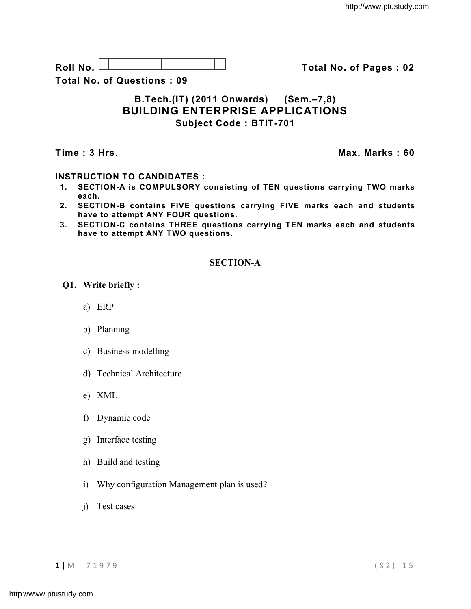

**Total No. of Questions : 09**

# **B.Tech.(IT) (2011 Onwards) (Sem.–7,8) BUILDING ENTERPRISE APPLICATIONS Subject Code : BTIT-701**

**Time : 3 Hrs. Max. Marks : 60**

## **INSTRUCTION TO CANDIDATES :**

- **1. SECTION-A is COMPULSORY consisting of TEN questions carrying TWO marks each.**
- **2. SECTION-B contains FIVE questions carrying FIVE marks each and students have to attempt ANY FOUR questions.**
- **3. SECTION-C contains THREE questions carrying TEN marks each and students have to attempt ANY TWO questions.**

## **SECTION-A**

## **Q1. Write briefly :**

- a) ERP
- b) Planning
- c) Business modelling
- d) Technical Architecture
- e) XML
- f) Dynamic code
- g) Interface testing
- h) Build and testing
- i) Why configuration Management plan is used?
- j) Test cases